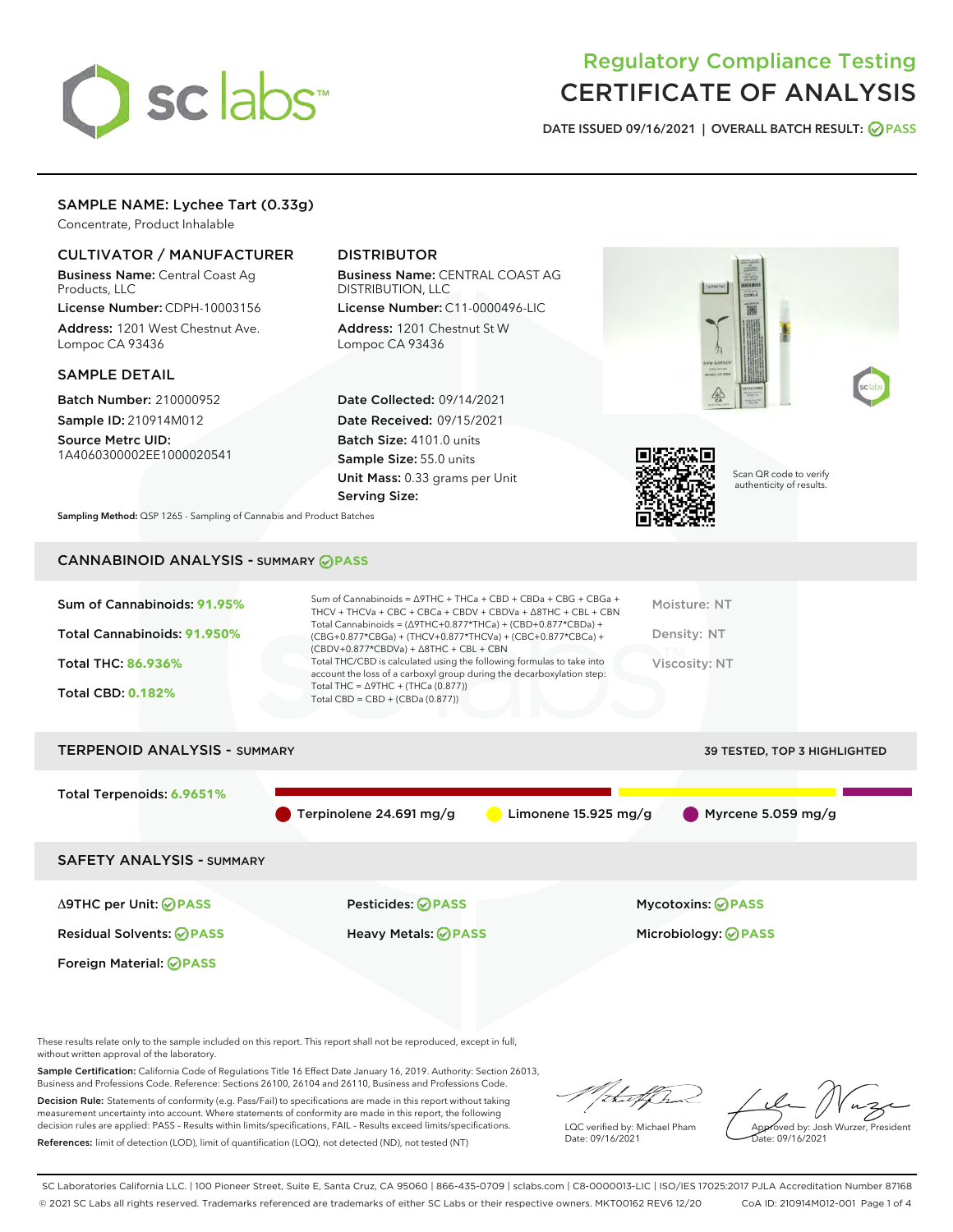

# Regulatory Compliance Testing CERTIFICATE OF ANALYSIS

DATE ISSUED 09/16/2021 | OVERALL BATCH RESULT: @ PASS

# SAMPLE NAME: Lychee Tart (0.33g)

Concentrate, Product Inhalable

# CULTIVATOR / MANUFACTURER

Business Name: Central Coast Ag Products, LLC

License Number: CDPH-10003156 Address: 1201 West Chestnut Ave. Lompoc CA 93436

#### SAMPLE DETAIL

Batch Number: 210000952 Sample ID: 210914M012

Source Metrc UID: 1A4060300002EE1000020541

# DISTRIBUTOR

Business Name: CENTRAL COAST AG DISTRIBUTION, LLC License Number: C11-0000496-LIC

Address: 1201 Chestnut St W Lompoc CA 93436

Date Collected: 09/14/2021 Date Received: 09/15/2021 Batch Size: 4101.0 units Sample Size: 55.0 units Unit Mass: 0.33 grams per Unit Serving Size:





Scan QR code to verify authenticity of results.

Sampling Method: QSP 1265 - Sampling of Cannabis and Product Batches

# CANNABINOID ANALYSIS - SUMMARY **PASS**

| Sum of Cannabinoids: 91.95%<br>Total Cannabinoids: 91.950%<br>Total THC: 86.936%<br><b>Total CBD: 0.182%</b> | Sum of Cannabinoids = $\triangle$ 9THC + THCa + CBD + CBDa + CBG + CBGa +<br>THCV + THCVa + CBC + CBCa + CBDV + CBDVa + $\land$ 8THC + CBL + CBN<br>Total Cannabinoids = $(\Delta$ 9THC+0.877*THCa) + (CBD+0.877*CBDa) +<br>(CBG+0.877*CBGa) + (THCV+0.877*THCVa) + (CBC+0.877*CBCa) +<br>$(CBDV+0.877*CBDVa) + \Delta 8THC + CBL + CBN$<br>Total THC/CBD is calculated using the following formulas to take into<br>account the loss of a carboxyl group during the decarboxylation step:<br>Total THC = $\triangle$ 9THC + (THCa (0.877))<br>Total CBD = $CBD + (CBDa (0.877))$ | Moisture: NT<br>Density: NT<br>Viscosity: NT |
|--------------------------------------------------------------------------------------------------------------|-----------------------------------------------------------------------------------------------------------------------------------------------------------------------------------------------------------------------------------------------------------------------------------------------------------------------------------------------------------------------------------------------------------------------------------------------------------------------------------------------------------------------------------------------------------------------------------|----------------------------------------------|
| <b>TERPENOID ANALYSIS - SUMMARY</b>                                                                          |                                                                                                                                                                                                                                                                                                                                                                                                                                                                                                                                                                                   | 39 TESTED, TOP 3 HIGHLIGHTED                 |

Total Terpenoids: **6.9651%** Terpinolene 24.691 mg/g Limonene 15.925 mg/g Myrcene 5.059 mg/g SAFETY ANALYSIS - SUMMARY

Δ9THC per Unit: **PASS** Pesticides: **PASS** Mycotoxins: **PASS**

Foreign Material: **PASS**

Residual Solvents: **PASS** Heavy Metals: **PASS** Microbiology: **PASS**

These results relate only to the sample included on this report. This report shall not be reproduced, except in full, without written approval of the laboratory.

Sample Certification: California Code of Regulations Title 16 Effect Date January 16, 2019. Authority: Section 26013, Business and Professions Code. Reference: Sections 26100, 26104 and 26110, Business and Professions Code.

Decision Rule: Statements of conformity (e.g. Pass/Fail) to specifications are made in this report without taking measurement uncertainty into account. Where statements of conformity are made in this report, the following decision rules are applied: PASS – Results within limits/specifications, FAIL – Results exceed limits/specifications. References: limit of detection (LOD), limit of quantification (LOQ), not detected (ND), not tested (NT)

that f

LQC verified by: Michael Pham Date: 09/16/2021

Approved by: Josh Wurzer, President Date: 09/16/2021

SC Laboratories California LLC. | 100 Pioneer Street, Suite E, Santa Cruz, CA 95060 | 866-435-0709 | sclabs.com | C8-0000013-LIC | ISO/IES 17025:2017 PJLA Accreditation Number 87168 © 2021 SC Labs all rights reserved. Trademarks referenced are trademarks of either SC Labs or their respective owners. MKT00162 REV6 12/20 CoA ID: 210914M012-001 Page 1 of 4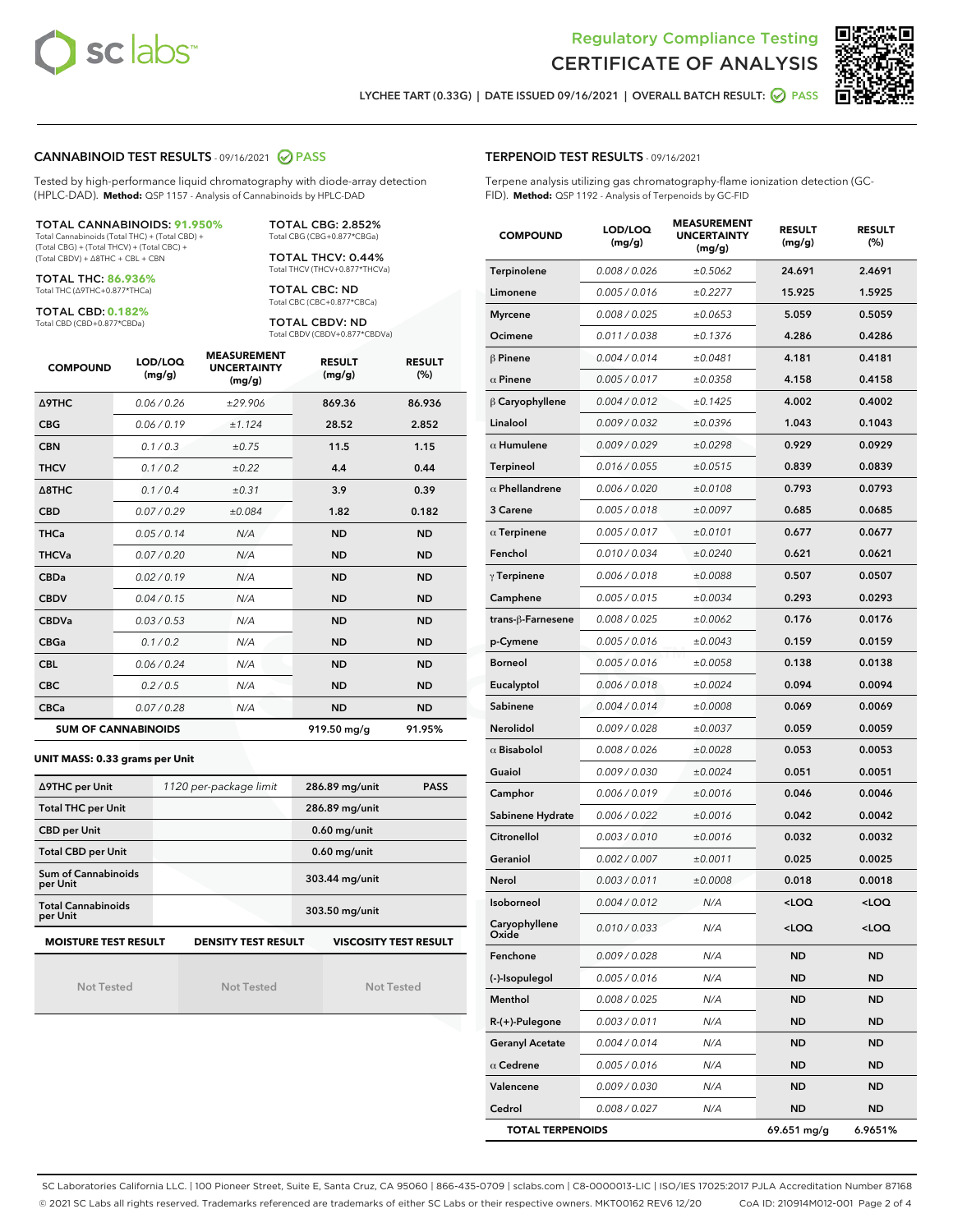



LYCHEE TART (0.33G) | DATE ISSUED 09/16/2021 | OVERALL BATCH RESULT: **○** PASS

## CANNABINOID TEST RESULTS - 09/16/2021 2 PASS

Tested by high-performance liquid chromatography with diode-array detection (HPLC-DAD). **Method:** QSP 1157 - Analysis of Cannabinoids by HPLC-DAD

#### TOTAL CANNABINOIDS: **91.950%**

Total Cannabinoids (Total THC) + (Total CBD) + (Total CBG) + (Total THCV) + (Total CBC) + (Total CBDV) + ∆8THC + CBL + CBN

TOTAL THC: **86.936%** Total THC (∆9THC+0.877\*THCa)

TOTAL CBD: **0.182%**

Total CBD (CBD+0.877\*CBDa)

TOTAL CBG: 2.852% Total CBG (CBG+0.877\*CBGa)

TOTAL THCV: 0.44% Total THCV (THCV+0.877\*THCVa)

TOTAL CBC: ND Total CBC (CBC+0.877\*CBCa)

TOTAL CBDV: ND Total CBDV (CBDV+0.877\*CBDVa)

| <b>COMPOUND</b>  | LOD/LOQ<br>(mg/g)          | <b>MEASUREMENT</b><br><b>UNCERTAINTY</b><br>(mg/g) | <b>RESULT</b><br>(mg/g) | <b>RESULT</b><br>(%) |
|------------------|----------------------------|----------------------------------------------------|-------------------------|----------------------|
| <b>A9THC</b>     | 0.06 / 0.26                | ±29.906                                            | 869.36                  | 86.936               |
| <b>CBG</b>       | 0.06/0.19                  | ±1.124                                             | 28.52                   | 2.852                |
| <b>CBN</b>       | 0.1 / 0.3                  | ±0.75                                              | 11.5                    | 1.15                 |
| <b>THCV</b>      | 0.1/0.2                    | $\pm 0.22$                                         | 4.4                     | 0.44                 |
| $\triangle$ 8THC | 0.1 / 0.4                  | ±0.31                                              | 3.9                     | 0.39                 |
| <b>CBD</b>       | 0.07/0.29                  | ±0.084                                             | 1.82                    | 0.182                |
| <b>THCa</b>      | 0.05/0.14                  | N/A                                                | <b>ND</b>               | <b>ND</b>            |
| <b>THCVa</b>     | 0.07/0.20                  | N/A                                                | <b>ND</b>               | <b>ND</b>            |
| <b>CBDa</b>      | 0.02/0.19                  | N/A                                                | <b>ND</b>               | <b>ND</b>            |
| <b>CBDV</b>      | 0.04 / 0.15                | N/A                                                | <b>ND</b>               | <b>ND</b>            |
| <b>CBDVa</b>     | 0.03/0.53                  | N/A                                                | <b>ND</b>               | <b>ND</b>            |
| <b>CBGa</b>      | 0.1/0.2                    | N/A                                                | <b>ND</b>               | <b>ND</b>            |
| <b>CBL</b>       | 0.06 / 0.24                | N/A                                                | <b>ND</b>               | <b>ND</b>            |
| <b>CBC</b>       | 0.2 / 0.5                  | N/A                                                | <b>ND</b>               | <b>ND</b>            |
| <b>CBCa</b>      | 0.07/0.28                  | N/A                                                | <b>ND</b>               | <b>ND</b>            |
|                  | <b>SUM OF CANNABINOIDS</b> |                                                    | 919.50 mg/g             | 91.95%               |

#### **UNIT MASS: 0.33 grams per Unit**

| ∆9THC per Unit                        | 1120 per-package limit     | 286.89 mg/unit<br><b>PASS</b> |  |  |
|---------------------------------------|----------------------------|-------------------------------|--|--|
| <b>Total THC per Unit</b>             |                            | 286.89 mg/unit                |  |  |
| <b>CBD per Unit</b>                   |                            | $0.60$ mg/unit                |  |  |
| <b>Total CBD per Unit</b>             |                            | $0.60$ mg/unit                |  |  |
| Sum of Cannabinoids<br>per Unit       |                            | 303.44 mg/unit                |  |  |
| <b>Total Cannabinoids</b><br>per Unit |                            | 303.50 mg/unit                |  |  |
| <b>MOISTURE TEST RESULT</b>           | <b>DENSITY TEST RESULT</b> | <b>VISCOSITY TEST RESULT</b>  |  |  |

Not Tested

Not Tested

Not Tested

#### TERPENOID TEST RESULTS - 09/16/2021

Terpene analysis utilizing gas chromatography-flame ionization detection (GC-FID). **Method:** QSP 1192 - Analysis of Terpenoids by GC-FID

| <b>COMPOUND</b>         | LOD/LOQ<br>(mg/g) | <b>MEASUREMENT</b><br><b>UNCERTAINTY</b><br>(mg/g) | <b>RESULT</b><br>(mg/g)                          | <b>RESULT</b><br>(%) |
|-------------------------|-------------------|----------------------------------------------------|--------------------------------------------------|----------------------|
| Terpinolene             | 0.008 / 0.026     | ±0.5062                                            | 24.691                                           | 2.4691               |
| Limonene                | 0.005 / 0.016     | ±0.2277                                            | 15.925                                           | 1.5925               |
| <b>Myrcene</b>          | 0.008 / 0.025     | ±0.0653                                            | 5.059                                            | 0.5059               |
| Ocimene                 | 0.011 / 0.038     | ±0.1376                                            | 4.286                                            | 0.4286               |
| $\beta$ Pinene          | 0.004 / 0.014     | ±0.0481                                            | 4.181                                            | 0.4181               |
| $\alpha$ Pinene         | 0.005 / 0.017     | ±0.0358                                            | 4.158                                            | 0.4158               |
| $\beta$ Caryophyllene   | 0.004 / 0.012     | ±0.1425                                            | 4.002                                            | 0.4002               |
| Linalool                | 0.009 / 0.032     | ±0.0396                                            | 1.043                                            | 0.1043               |
| $\alpha$ Humulene       | 0.009 / 0.029     | ±0.0298                                            | 0.929                                            | 0.0929               |
| <b>Terpineol</b>        | 0.016 / 0.055     | ±0.0515                                            | 0.839                                            | 0.0839               |
| $\alpha$ Phellandrene   | 0.006 / 0.020     | ±0.0108                                            | 0.793                                            | 0.0793               |
| 3 Carene                | 0.005 / 0.018     | ±0.0097                                            | 0.685                                            | 0.0685               |
| $\alpha$ Terpinene      | 0.005 / 0.017     | ±0.0101                                            | 0.677                                            | 0.0677               |
| Fenchol                 | 0.010 / 0.034     | ±0.0240                                            | 0.621                                            | 0.0621               |
| $\gamma$ Terpinene      | 0.006 / 0.018     | ±0.0088                                            | 0.507                                            | 0.0507               |
| Camphene                | 0.005 / 0.015     | ±0.0034                                            | 0.293                                            | 0.0293               |
| trans-ß-Farnesene       | 0.008 / 0.025     | ±0.0062                                            | 0.176                                            | 0.0176               |
| p-Cymene                | 0.005 / 0.016     | ±0.0043                                            | 0.159                                            | 0.0159               |
| <b>Borneol</b>          | 0.005 / 0.016     | ±0.0058                                            | 0.138                                            | 0.0138               |
| Eucalyptol              | 0.006 / 0.018     | ±0.0024                                            | 0.094                                            | 0.0094               |
| Sabinene                | 0.004 / 0.014     | ±0.0008                                            | 0.069                                            | 0.0069               |
| <b>Nerolidol</b>        | 0.009 / 0.028     | ±0.0037                                            | 0.059                                            | 0.0059               |
| $\alpha$ Bisabolol      | 0.008 / 0.026     | ±0.0028                                            | 0.053                                            | 0.0053               |
| Guaiol                  | 0.009 / 0.030     | ±0.0024                                            | 0.051                                            | 0.0051               |
| Camphor                 | 0.006 / 0.019     | ±0.0016                                            | 0.046                                            | 0.0046               |
| Sabinene Hydrate        | 0.006 / 0.022     | ±0.0016                                            | 0.042                                            | 0.0042               |
| Citronellol             | 0.003/0.010       | ±0.0016                                            | 0.032                                            | 0.0032               |
| Geraniol                | 0.002 / 0.007     | ±0.0011                                            | 0.025                                            | 0.0025               |
| Nerol                   | 0.003 / 0.011     | ±0.0008                                            | 0.018                                            | 0.0018               |
| Isoborneol              | 0.004 / 0.012     | N/A                                                | <loq< th=""><th><loq< th=""></loq<></th></loq<>  | <loq< th=""></loq<>  |
| Caryophyllene<br>Oxide  | 0.010 / 0.033     | N/A                                                | <loq< th=""><th><math>&lt;</math>LOQ</th></loq<> | $<$ LOQ              |
| Fenchone                | 0.009 / 0.028     | N/A                                                | ND                                               | ND                   |
| (-)-Isopulegol          | 0.005 / 0.016     | N/A                                                | ND                                               | ND                   |
| Menthol                 | 0.008 / 0.025     | N/A                                                | ND                                               | ND                   |
| R-(+)-Pulegone          | 0.003 / 0.011     | N/A                                                | ND                                               | ND                   |
| <b>Geranyl Acetate</b>  | 0.004 / 0.014     | N/A                                                | ND                                               | ND                   |
| $\alpha$ Cedrene        | 0.005 / 0.016     | N/A                                                | ND                                               | ND                   |
| Valencene               | 0.009 / 0.030     | N/A                                                | ND                                               | ND                   |
| Cedrol                  | 0.008 / 0.027     | N/A                                                | ND                                               | ND                   |
| <b>TOTAL TERPENOIDS</b> |                   | 69.651 mg/g                                        | 6.9651%                                          |                      |

SC Laboratories California LLC. | 100 Pioneer Street, Suite E, Santa Cruz, CA 95060 | 866-435-0709 | sclabs.com | C8-0000013-LIC | ISO/IES 17025:2017 PJLA Accreditation Number 87168 © 2021 SC Labs all rights reserved. Trademarks referenced are trademarks of either SC Labs or their respective owners. MKT00162 REV6 12/20 CoA ID: 210914M012-001 Page 2 of 4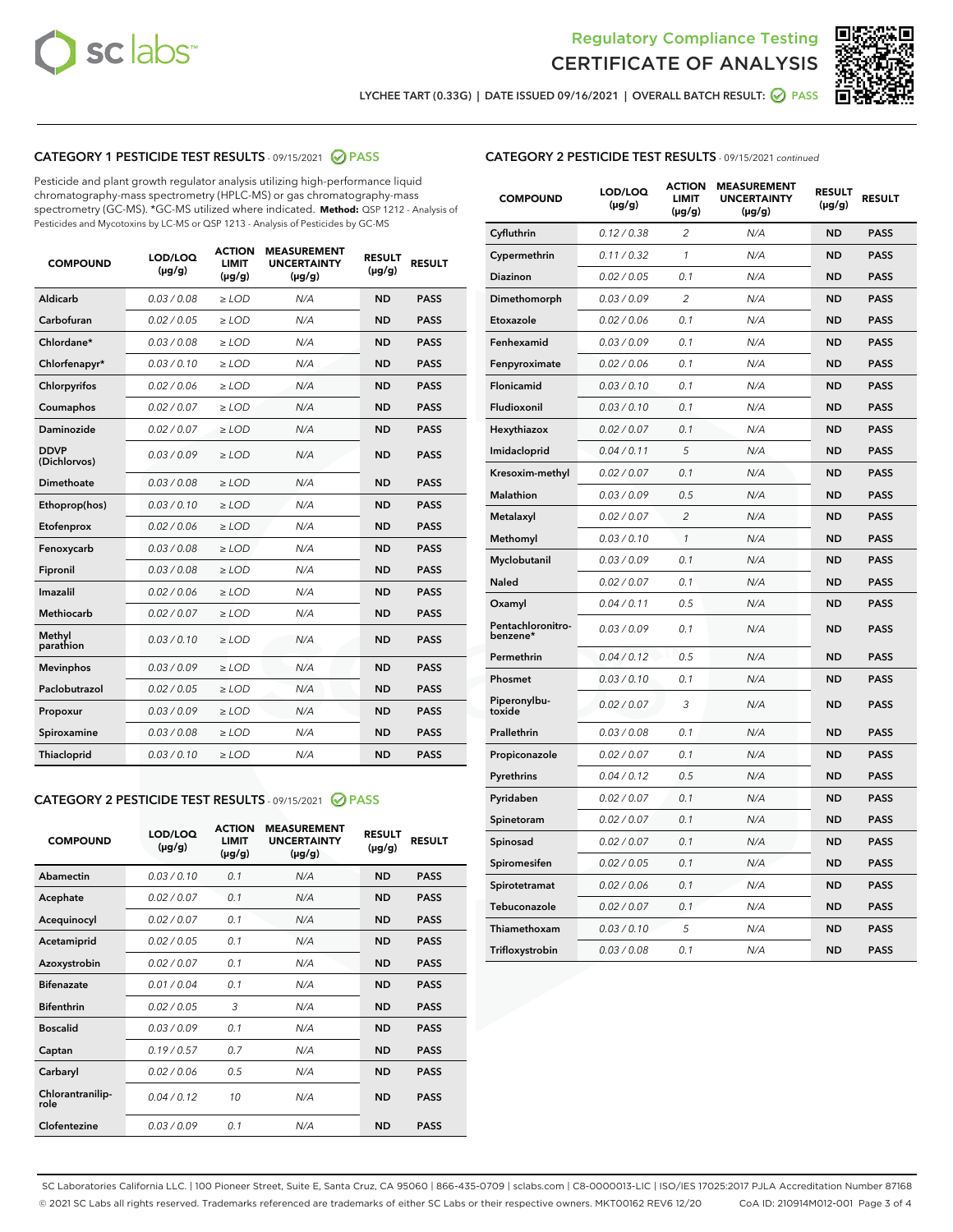



LYCHEE TART (0.33G) | DATE ISSUED 09/16/2021 | OVERALL BATCH RESULT: ● PASS

# CATEGORY 1 PESTICIDE TEST RESULTS - 09/15/2021 2 PASS

Pesticide and plant growth regulator analysis utilizing high-performance liquid chromatography-mass spectrometry (HPLC-MS) or gas chromatography-mass spectrometry (GC-MS). \*GC-MS utilized where indicated. **Method:** QSP 1212 - Analysis of Pesticides and Mycotoxins by LC-MS or QSP 1213 - Analysis of Pesticides by GC-MS

| <b>COMPOUND</b>             | LOD/LOQ<br>$(\mu g/g)$ | <b>ACTION</b><br><b>LIMIT</b><br>$(\mu g/g)$ | <b>MEASUREMENT</b><br><b>UNCERTAINTY</b><br>$(\mu g/g)$ | <b>RESULT</b><br>$(\mu g/g)$ | <b>RESULT</b> |
|-----------------------------|------------------------|----------------------------------------------|---------------------------------------------------------|------------------------------|---------------|
| Aldicarb                    | 0.03 / 0.08            | $\geq$ LOD                                   | N/A                                                     | <b>ND</b>                    | <b>PASS</b>   |
| Carbofuran                  | 0.02 / 0.05            | $>$ LOD                                      | N/A                                                     | <b>ND</b>                    | <b>PASS</b>   |
| Chlordane*                  | 0.03 / 0.08            | $\ge$ LOD                                    | N/A                                                     | <b>ND</b>                    | <b>PASS</b>   |
| Chlorfenapyr*               | 0.03/0.10              | $>$ LOD                                      | N/A                                                     | <b>ND</b>                    | <b>PASS</b>   |
| Chlorpyrifos                | 0.02 / 0.06            | ≥ LOD                                        | N/A                                                     | <b>ND</b>                    | <b>PASS</b>   |
| Coumaphos                   | 0.02 / 0.07            | $\ge$ LOD                                    | N/A                                                     | <b>ND</b>                    | <b>PASS</b>   |
| Daminozide                  | 0.02 / 0.07            | $\geq$ LOD                                   | N/A                                                     | <b>ND</b>                    | <b>PASS</b>   |
| <b>DDVP</b><br>(Dichlorvos) | 0.03/0.09              | $\geq$ LOD                                   | N/A                                                     | <b>ND</b>                    | <b>PASS</b>   |
| Dimethoate                  | 0.03 / 0.08            | $>$ LOD                                      | N/A                                                     | <b>ND</b>                    | <b>PASS</b>   |
| Ethoprop(hos)               | 0.03/0.10              | $\ge$ LOD                                    | N/A                                                     | <b>ND</b>                    | <b>PASS</b>   |
| Etofenprox                  | 0.02 / 0.06            | $>$ LOD                                      | N/A                                                     | <b>ND</b>                    | <b>PASS</b>   |
| Fenoxycarb                  | 0.03 / 0.08            | $\geq$ LOD                                   | N/A                                                     | <b>ND</b>                    | <b>PASS</b>   |
| Fipronil                    | 0.03/0.08              | $>$ LOD                                      | N/A                                                     | <b>ND</b>                    | <b>PASS</b>   |
| Imazalil                    | 0.02 / 0.06            | $\geq$ LOD                                   | N/A                                                     | <b>ND</b>                    | <b>PASS</b>   |
| <b>Methiocarb</b>           | 0.02 / 0.07            | $\ge$ LOD                                    | N/A                                                     | <b>ND</b>                    | <b>PASS</b>   |
| Methyl<br>parathion         | 0.03/0.10              | $\geq$ LOD                                   | N/A                                                     | <b>ND</b>                    | <b>PASS</b>   |
| <b>Mevinphos</b>            | 0.03/0.09              | $>$ LOD                                      | N/A                                                     | <b>ND</b>                    | <b>PASS</b>   |
| Paclobutrazol               | 0.02 / 0.05            | $\geq$ LOD                                   | N/A                                                     | <b>ND</b>                    | <b>PASS</b>   |
| Propoxur                    | 0.03/0.09              | $\ge$ LOD                                    | N/A                                                     | <b>ND</b>                    | <b>PASS</b>   |
| Spiroxamine                 | 0.03 / 0.08            | $\ge$ LOD                                    | N/A                                                     | <b>ND</b>                    | <b>PASS</b>   |
| Thiacloprid                 | 0.03/0.10              | $\geq$ LOD                                   | N/A                                                     | <b>ND</b>                    | <b>PASS</b>   |

#### CATEGORY 2 PESTICIDE TEST RESULTS - 09/15/2021 @ PASS

| <b>COMPOUND</b>          | LOD/LOO<br>$(\mu g/g)$ | <b>ACTION</b><br>LIMIT<br>$(\mu g/g)$ | <b>MEASUREMENT</b><br><b>UNCERTAINTY</b><br>$(\mu g/g)$ | <b>RESULT</b><br>$(\mu g/g)$ | <b>RESULT</b> |
|--------------------------|------------------------|---------------------------------------|---------------------------------------------------------|------------------------------|---------------|
| Abamectin                | 0.03/0.10              | 0.1                                   | N/A                                                     | <b>ND</b>                    | <b>PASS</b>   |
| Acephate                 | 0.02/0.07              | 0.1                                   | N/A                                                     | <b>ND</b>                    | <b>PASS</b>   |
| Acequinocyl              | 0.02/0.07              | 0.1                                   | N/A                                                     | <b>ND</b>                    | <b>PASS</b>   |
| Acetamiprid              | 0.02/0.05              | 0.1                                   | N/A                                                     | <b>ND</b>                    | <b>PASS</b>   |
| Azoxystrobin             | 0.02/0.07              | 0.1                                   | N/A                                                     | <b>ND</b>                    | <b>PASS</b>   |
| <b>Bifenazate</b>        | 0.01/0.04              | 0.1                                   | N/A                                                     | <b>ND</b>                    | <b>PASS</b>   |
| <b>Bifenthrin</b>        | 0.02 / 0.05            | 3                                     | N/A                                                     | <b>ND</b>                    | <b>PASS</b>   |
| <b>Boscalid</b>          | 0.03/0.09              | 0.1                                   | N/A                                                     | <b>ND</b>                    | <b>PASS</b>   |
| Captan                   | 0.19/0.57              | 0.7                                   | N/A                                                     | <b>ND</b>                    | <b>PASS</b>   |
| Carbaryl                 | 0.02/0.06              | 0.5                                   | N/A                                                     | <b>ND</b>                    | <b>PASS</b>   |
| Chlorantranilip-<br>role | 0.04/0.12              | 10                                    | N/A                                                     | <b>ND</b>                    | <b>PASS</b>   |
| Clofentezine             | 0.03/0.09              | 0.1                                   | N/A                                                     | <b>ND</b>                    | <b>PASS</b>   |

| <b>COMPOUND</b>               | LOD/LOQ<br>(µg/g) | <b>ACTION</b><br><b>LIMIT</b><br>(µg/g) | <b>MEASUREMENT</b><br><b>UNCERTAINTY</b><br>(µg/g) | <b>RESULT</b><br>(µg/g) | <b>RESULT</b> |
|-------------------------------|-------------------|-----------------------------------------|----------------------------------------------------|-------------------------|---------------|
| Cyfluthrin                    | 0.12 / 0.38       | $\overline{c}$                          | N/A                                                | <b>ND</b>               | <b>PASS</b>   |
| Cypermethrin                  | 0.11/0.32         | 1                                       | N/A                                                | <b>ND</b>               | <b>PASS</b>   |
| <b>Diazinon</b>               | 0.02 / 0.05       | 0.1                                     | N/A                                                | <b>ND</b>               | <b>PASS</b>   |
| Dimethomorph                  | 0.03 / 0.09       | 2                                       | N/A                                                | <b>ND</b>               | <b>PASS</b>   |
| Etoxazole                     | 0.02 / 0.06       | 0.1                                     | N/A                                                | <b>ND</b>               | <b>PASS</b>   |
| Fenhexamid                    | 0.03 / 0.09       | 0.1                                     | N/A                                                | <b>ND</b>               | <b>PASS</b>   |
| Fenpyroximate                 | 0.02 / 0.06       | 0.1                                     | N/A                                                | <b>ND</b>               | <b>PASS</b>   |
| Flonicamid                    | 0.03 / 0.10       | 0.1                                     | N/A                                                | <b>ND</b>               | <b>PASS</b>   |
| Fludioxonil                   | 0.03/0.10         | 0.1                                     | N/A                                                | <b>ND</b>               | <b>PASS</b>   |
| Hexythiazox                   | 0.02 / 0.07       | 0.1                                     | N/A                                                | <b>ND</b>               | <b>PASS</b>   |
| Imidacloprid                  | 0.04 / 0.11       | 5                                       | N/A                                                | <b>ND</b>               | <b>PASS</b>   |
| Kresoxim-methyl               | 0.02 / 0.07       | 0.1                                     | N/A                                                | <b>ND</b>               | <b>PASS</b>   |
| Malathion                     | 0.03 / 0.09       | 0.5                                     | N/A                                                | <b>ND</b>               | <b>PASS</b>   |
| Metalaxyl                     | 0.02 / 0.07       | $\overline{c}$                          | N/A                                                | <b>ND</b>               | <b>PASS</b>   |
| Methomyl                      | 0.03 / 0.10       | 1                                       | N/A                                                | <b>ND</b>               | <b>PASS</b>   |
| Myclobutanil                  | 0.03/0.09         | 0.1                                     | N/A                                                | <b>ND</b>               | <b>PASS</b>   |
| Naled                         | 0.02 / 0.07       | 0.1                                     | N/A                                                | <b>ND</b>               | <b>PASS</b>   |
| Oxamyl                        | 0.04 / 0.11       | 0.5                                     | N/A                                                | <b>ND</b>               | <b>PASS</b>   |
| Pentachloronitro-<br>benzene* | 0.03/0.09         | 0.1                                     | N/A                                                | <b>ND</b>               | <b>PASS</b>   |
| Permethrin                    | 0.04 / 0.12       | 0.5                                     | N/A                                                | <b>ND</b>               | <b>PASS</b>   |
| Phosmet                       | 0.03 / 0.10       | 0.1                                     | N/A                                                | <b>ND</b>               | <b>PASS</b>   |
| Piperonylbu-<br>toxide        | 0.02 / 0.07       | 3                                       | N/A                                                | <b>ND</b>               | <b>PASS</b>   |
| Prallethrin                   | 0.03 / 0.08       | 0.1                                     | N/A                                                | <b>ND</b>               | <b>PASS</b>   |
| Propiconazole                 | 0.02 / 0.07       | 0.1                                     | N/A                                                | <b>ND</b>               | <b>PASS</b>   |
| Pyrethrins                    | 0.04 / 0.12       | 0.5                                     | N/A                                                | <b>ND</b>               | <b>PASS</b>   |
| Pyridaben                     | 0.02 / 0.07       | 0.1                                     | N/A                                                | <b>ND</b>               | <b>PASS</b>   |
| Spinetoram                    | 0.02 / 0.07       | 0.1                                     | N/A                                                | <b>ND</b>               | <b>PASS</b>   |
| Spinosad                      | 0.02 / 0.07       | 0.1                                     | N/A                                                | <b>ND</b>               | <b>PASS</b>   |
| Spiromesifen                  | 0.02 / 0.05       | 0.1                                     | N/A                                                | <b>ND</b>               | <b>PASS</b>   |
| Spirotetramat                 | 0.02 / 0.06       | 0.1                                     | N/A                                                | <b>ND</b>               | <b>PASS</b>   |
| Tebuconazole                  | 0.02 / 0.07       | 0.1                                     | N/A                                                | <b>ND</b>               | <b>PASS</b>   |
| Thiamethoxam                  | 0.03 / 0.10       | 5                                       | N/A                                                | <b>ND</b>               | <b>PASS</b>   |
| Trifloxystrobin               | 0.03 / 0.08       | 0.1                                     | N/A                                                | <b>ND</b>               | <b>PASS</b>   |

SC Laboratories California LLC. | 100 Pioneer Street, Suite E, Santa Cruz, CA 95060 | 866-435-0709 | sclabs.com | C8-0000013-LIC | ISO/IES 17025:2017 PJLA Accreditation Number 87168 © 2021 SC Labs all rights reserved. Trademarks referenced are trademarks of either SC Labs or their respective owners. MKT00162 REV6 12/20 CoA ID: 210914M012-001 Page 3 of 4